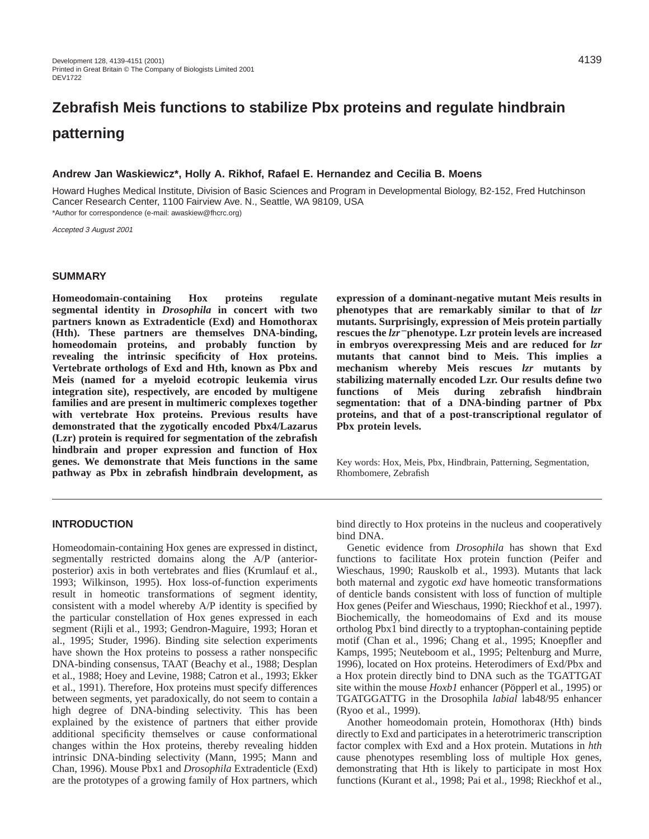# **Zebrafish Meis functions to stabilize Pbx proteins and regulate hindbrain patterning**

## **Andrew Jan Waskiewicz\*, Holly A. Rikhof, Rafael E. Hernandez and Cecilia B. Moens**

Howard Hughes Medical Institute, Division of Basic Sciences and Program in Developmental Biology, B2-152, Fred Hutchinson Cancer Research Center, 1100 Fairview Ave. N., Seattle, WA 98109, USA \*Author for correspondence (e-mail: awaskiew@fhcrc.org)

Accepted 3 August 2001

#### **SUMMARY**

**Homeodomain-containing Hox proteins regulate segmental identity in** *Drosophila* **in concert with two partners known as Extradenticle (Exd) and Homothorax (Hth). These partners are themselves DNA-binding, homeodomain proteins, and probably function by revealing the intrinsic specificity of Hox proteins. Vertebrate orthologs of Exd and Hth, known as Pbx and Meis (named for a myeloid ecotropic leukemia virus integration site), respectively, are encoded by multigene families and are present in multimeric complexes together with vertebrate Hox proteins. Previous results have demonstrated that the zygotically encoded Pbx4/Lazarus (Lzr) protein is required for segmentation of the zebrafish hindbrain and proper expression and function of Hox genes. We demonstrate that Meis functions in the same pathway as Pbx in zebrafish hindbrain development, as** **expression of a dominant-negative mutant Meis results in phenotypes that are remarkably similar to that of** *lzr* **mutants. Surprisingly, expression of Meis protein partially rescues the** *lzr*<sup>−</sup> **phenotype. Lzr protein levels are increased in embryos overexpressing Meis and are reduced for** *lzr* **mutants that cannot bind to Meis. This implies a mechanism whereby Meis rescues** *lzr* **mutants by stabilizing maternally encoded Lzr. Our results define two functions of Meis during zebrafish hindbrain segmentation: that of a DNA-binding partner of Pbx proteins, and that of a post-transcriptional regulator of Pbx protein levels.**

Key words: Hox, Meis, Pbx, Hindbrain, Patterning, Segmentation, Rhombomere, Zebrafish

# **INTRODUCTION**

Homeodomain-containing Hox genes are expressed in distinct, segmentally restricted domains along the A/P (anteriorposterior) axis in both vertebrates and flies (Krumlauf et al., 1993; Wilkinson, 1995). Hox loss-of-function experiments result in homeotic transformations of segment identity, consistent with a model whereby A/P identity is specified by the particular constellation of Hox genes expressed in each segment (Rijli et al., 1993; Gendron-Maguire, 1993; Horan et al., 1995; Studer, 1996). Binding site selection experiments have shown the Hox proteins to possess a rather nonspecific DNA-binding consensus, TAAT (Beachy et al., 1988; Desplan et al., 1988; Hoey and Levine, 1988; Catron et al., 1993; Ekker et al., 1991). Therefore, Hox proteins must specify differences between segments, yet paradoxically, do not seem to contain a high degree of DNA-binding selectivity. This has been explained by the existence of partners that either provide additional specificity themselves or cause conformational changes within the Hox proteins, thereby revealing hidden intrinsic DNA-binding selectivity (Mann, 1995; Mann and Chan, 1996). Mouse Pbx1 and *Drosophila* Extradenticle (Exd) are the prototypes of a growing family of Hox partners, which

bind directly to Hox proteins in the nucleus and cooperatively bind DNA.

Genetic evidence from *Drosophila* has shown that Exd functions to facilitate Hox protein function (Peifer and Wieschaus, 1990; Rauskolb et al., 1993). Mutants that lack both maternal and zygotic *exd* have homeotic transformations of denticle bands consistent with loss of function of multiple Hox genes (Peifer and Wieschaus, 1990; Rieckhof et al., 1997). Biochemically, the homeodomains of Exd and its mouse ortholog Pbx1 bind directly to a tryptophan-containing peptide motif (Chan et al., 1996; Chang et al., 1995; Knoepfler and Kamps, 1995; Neuteboom et al., 1995; Peltenburg and Murre, 1996), located on Hox proteins. Heterodimers of Exd/Pbx and a Hox protein directly bind to DNA such as the TGATTGAT site within the mouse *Hoxb1* enhancer (Pöpperl et al., 1995) or TGATGGATTG in the Drosophila *labial* lab48/95 enhancer (Ryoo et al., 1999).

Another homeodomain protein, Homothorax (Hth) binds directly to Exd and participates in a heterotrimeric transcription factor complex with Exd and a Hox protein. Mutations in *hth* cause phenotypes resembling loss of multiple Hox genes, demonstrating that Hth is likely to participate in most Hox functions (Kurant et al., 1998; Pai et al., 1998; Rieckhof et al.,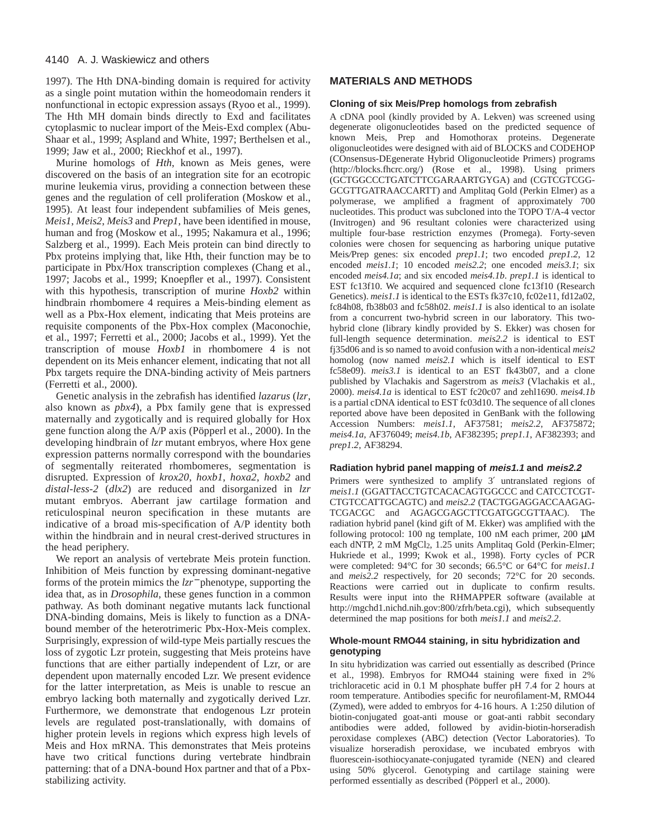1997). The Hth DNA-binding domain is required for activity as a single point mutation within the homeodomain renders it nonfunctional in ectopic expression assays (Ryoo et al., 1999). The Hth MH domain binds directly to Exd and facilitates cytoplasmic to nuclear import of the Meis-Exd complex (Abu-Shaar et al., 1999; Aspland and White, 1997; Berthelsen et al., 1999; Jaw et al., 2000; Rieckhof et al., 1997).

Murine homologs of *Hth*, known as Meis genes, were discovered on the basis of an integration site for an ecotropic murine leukemia virus, providing a connection between these genes and the regulation of cell proliferation (Moskow et al., 1995). At least four independent subfamilies of Meis genes, *Meis1*, *Meis2*, *Meis3* and *Prep1*, have been identified in mouse, human and frog (Moskow et al., 1995; Nakamura et al., 1996; Salzberg et al., 1999). Each Meis protein can bind directly to Pbx proteins implying that, like Hth, their function may be to participate in Pbx/Hox transcription complexes (Chang et al., 1997; Jacobs et al., 1999; Knoepfler et al., 1997). Consistent with this hypothesis, transcription of murine *Hoxb2* within hindbrain rhombomere 4 requires a Meis-binding element as well as a Pbx-Hox element, indicating that Meis proteins are requisite components of the Pbx-Hox complex (Maconochie, et al., 1997; Ferretti et al., 2000; Jacobs et al., 1999). Yet the transcription of mouse *Hoxb1* in rhombomere 4 is not dependent on its Meis enhancer element, indicating that not all Pbx targets require the DNA-binding activity of Meis partners (Ferretti et al., 2000).

Genetic analysis in the zebrafish has identified *lazarus* (*lzr*, also known as *pbx4*), a Pbx family gene that is expressed maternally and zygotically and is required globally for Hox gene function along the A/P axis (Pöpperl et al., 2000). In the developing hindbrain of *lzr* mutant embryos, where Hox gene expression patterns normally correspond with the boundaries of segmentally reiterated rhombomeres, segmentation is disrupted. Expression of *krox20*, *hoxb1*, *hoxa2*, *hoxb2* and *distal-less-2* (*dlx2*) are reduced and disorganized in *lzr* mutant embryos. Aberrant jaw cartilage formation and reticulospinal neuron specification in these mutants are indicative of a broad mis-specification of A/P identity both within the hindbrain and in neural crest-derived structures in the head periphery.

We report an analysis of vertebrate Meis protein function. Inhibition of Meis function by expressing dominant-negative forms of the protein mimics the *lzr*<sup>−</sup> phenotype, supporting the idea that, as in *Drosophila*, these genes function in a common pathway. As both dominant negative mutants lack functional DNA-binding domains, Meis is likely to function as a DNAbound member of the heterotrimeric Pbx-Hox-Meis complex. Surprisingly, expression of wild-type Meis partially rescues the loss of zygotic Lzr protein, suggesting that Meis proteins have functions that are either partially independent of Lzr, or are dependent upon maternally encoded Lzr. We present evidence for the latter interpretation, as Meis is unable to rescue an embryo lacking both maternally and zygotically derived Lzr. Furthermore, we demonstrate that endogenous Lzr protein levels are regulated post-translationally, with domains of higher protein levels in regions which express high levels of Meis and Hox mRNA. This demonstrates that Meis proteins have two critical functions during vertebrate hindbrain patterning: that of a DNA-bound Hox partner and that of a Pbxstabilizing activity.

# **MATERIALS AND METHODS**

#### **Cloning of six Meis/Prep homologs from zebrafish**

A cDNA pool (kindly provided by A. Lekven) was screened using degenerate oligonucleotides based on the predicted sequence of known Meis, Prep and Homothorax proteins. Degenerate oligonucleotides were designed with aid of BLOCKS and CODEHOP (COnsensus-DEgenerate Hybrid Oligonucleotide Primers) programs [\(http://blocks.fhcrc.org/\)](http://blocks.fhcrc.org/) (Rose et al., 1998). Using primers (GCTGGCCCTGATCTTCGARAARTGYGA) and (CGTCGTCGG-GCGTTGATRAACCARTT) and Amplitaq Gold (Perkin Elmer) as a polymerase, we amplified a fragment of approximately 700 nucleotides. This product was subcloned into the TOPO T/A-4 vector (Invitrogen) and 96 resultant colonies were characterized using multiple four-base restriction enzymes (Promega). Forty-seven colonies were chosen for sequencing as harboring unique putative Meis*/*Prep genes: six encoded *prep1.1*; two encoded *prep1.2*, 12 encoded *meis1.1*; 10 encoded *meis2.2*; one encoded *meis3.1*; six encoded *meis4.1a*; and six encoded *meis4.1b*. *prep1.1* is identical to EST fc13f10. We acquired and sequenced clone fc13f10 (Research Genetics). *meis1.1* is identical to the ESTs fk37c10, fc02e11, fd12a02, fc84h08, fb38b03 and fc58h02. *meis1.1* is also identical to an isolate from a concurrent two-hybrid screen in our laboratory. This twohybrid clone (library kindly provided by S. Ekker) was chosen for full-length sequence determination. *meis2.2* is identical to EST fj35d06 and is so named to avoid confusion with a non-identical *meis2* homolog (now named *meis2.1* which is itself identical to EST fc58e09). *meis3.1* is identical to an EST fk43b07, and a clone published by Vlachakis and Sagerstrom as *meis3* (Vlachakis et al., 2000). *meis4.1a* is identical to EST fc20c07 and zehl1690. *meis4.1b* is a partial cDNA identical to EST fc03d10. The sequence of all clones reported above have been deposited in GenBank with the following Accession Numbers: *meis1.1*, AF37581; *meis2.2*, AF375872; *meis4.1a*, AF376049; *meis4.1b*, AF382395; *prep1.1*, AF382393; and *prep1.2*, AF38294.

#### **Radiation hybrid panel mapping of meis1.1 and meis2.2**

Primers were synthesized to amplify 3′ untranslated regions of *meis1.1* (GGATTACCTGTCACACAGTGGCCC and CATCCTCGT-CTGTCCATTGCAGTC) and *meis2.2* (TACTGGAGGACCAAGAG-TCGACGC and AGAGCGAGCTTCGATGGCGTTAAC). The radiation hybrid panel (kind gift of M. Ekker) was amplified with the following protocol: 100 ng template, 100 nM each primer, 200  $\mu$ M each dNTP, 2 mM MgCl<sub>2</sub>, 1.25 units Amplitaq Gold (Perkin-Elmer; Hukriede et al., 1999; Kwok et al., 1998). Forty cycles of PCR were completed: 94°C for 30 seconds; 66.5°C or 64°C for *meis1.1* and *meis2.2* respectively, for 20 seconds; 72°C for 20 seconds. Reactions were carried out in duplicate to confirm results. Results were input into the RHMAPPER software (available at [http://mgchd1.nichd.nih.gov:800/zfrh/beta.cgi\),](http://mgchd1.nichd.nih.gov:800/zfrh/beta.cgi) which subsequently determined the map positions for both *meis1.1* and *meis2.2*.

## **Whole-mount RMO44 staining, in situ hybridization and genotyping**

In situ hybridization was carried out essentially as described (Prince et al., 1998). Embryos for RMO44 staining were fixed in 2% trichloracetic acid in 0.1 M phosphate buffer pH 7.4 for 2 hours at room temperature. Antibodies specific for neurofilament-M, RMO44 (Zymed), were added to embryos for 4-16 hours. A 1:250 dilution of biotin-conjugated goat-anti mouse or goat-anti rabbit secondary antibodies were added, followed by avidin-biotin-horseradish peroxidase complexes (ABC) detection (Vector Laboratories). To visualize horseradish peroxidase, we incubated embryos with fluorescein-isothiocyanate-conjugated tyramide (NEN) and cleared using 50% glycerol. Genotyping and cartilage staining were performed essentially as described (Pöpperl et al., 2000).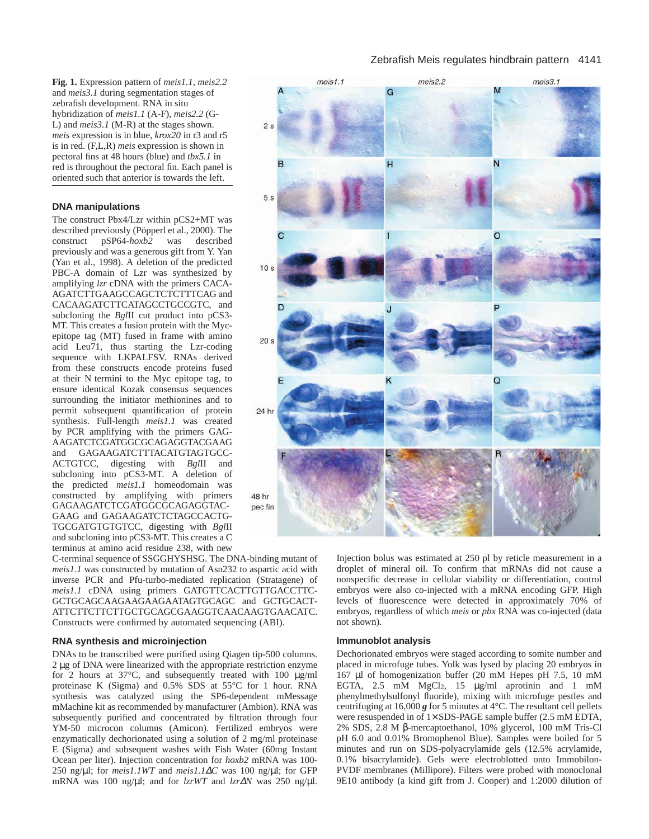**Fig. 1.** Expression pattern of *meis1.1*, *meis2.2* and *meis3.1* during segmentation stages of zebrafish development. RNA in situ hybridization of *meis1.1* (A-F), *meis2.2* (G-L) and *meis3.1* (M-R) at the stages shown. *meis* expression is in blue, *krox20* in r3 and r5 is in red. (F,L,R) *meis* expression is shown in pectoral fins at 48 hours (blue) and *tbx5.1* in red is throughout the pectoral fin. Each panel is oriented such that anterior is towards the left.

#### **DNA manipulations**

The construct Pbx4/Lzr within pCS2+MT was described previously (Pöpperl et al., 2000). The construct pSP64-*hoxb2* was described previously and was a generous gift from Y. Yan (Yan et al., 1998). A deletion of the predicted PBC-A domain of Lzr was synthesized by amplifying *lzr* cDNA with the primers CACA-AGATCTTGAAGCCAGCTCTCTTTCAG and CACAAGATCTTCATAGCCTGCCGTC, and subcloning the *Bgl*II cut product into pCS3- MT. This creates a fusion protein with the Mycepitope tag (MT) fused in frame with amino acid Leu71, thus starting the Lzr-coding sequence with LKPALFSV. RNAs derived from these constructs encode proteins fused at their N termini to the Myc epitope tag, to ensure identical Kozak consensus sequences surrounding the initiator methionines and to permit subsequent quantification of protein synthesis. Full-length *meis1.1* was created by PCR amplifying with the primers GAG-AAGATCTCGATGGCGCAGAGGTACGAAG and GAGAAGATCTTTACATGTAGTGCC-ACTGTCC, digesting with *Bgl*II and subcloning into pCS3-MT. A deletion of the predicted *meis1.1* homeodomain was constructed by amplifying with primers GAGAAGATCTCGATGGCGCAGAGGTAC-GAAG and GAGAAGATCTCTAGCCACTG-TGCGATGTGTGTCC, digesting with *Bgl*II and subcloning into pCS3-MT. This creates a C terminus at amino acid residue 238, with new

C-terminal sequence of SSGGHYSHSG. The DNA-binding mutant of *meis1.1* was constructed by mutation of Asn232 to aspartic acid with inverse PCR and Pfu-turbo-mediated replication (Stratagene) of *meis1.1* cDNA using primers GATGTTCACTTGTTGACCTTC-GCTGCAGCAAGAAGAAGAATAGTGCAGC and GCTGCACT-ATTCTTCTTCTTGCTGCAGCGAAGGTCAACAAGTGAACATC. Constructs were confirmed by automated sequencing (ABI).

#### **RNA synthesis and microinjection**

DNAs to be transcribed were purified using Qiagen tip-500 columns. 2 µg of DNA were linearized with the appropriate restriction enzyme for 2 hours at 37°C, and subsequently treated with 100 µg/ml proteinase K (Sigma) and 0.5% SDS at 55°C for 1 hour. RNA synthesis was catalyzed using the SP6-dependent mMessage mMachine kit as recommended by manufacturer (Ambion). RNA was subsequently purified and concentrated by filtration through four YM-50 microcon columns (Amicon). Fertilized embryos were enzymatically dechorionated using a solution of 2 mg/ml proteinase E (Sigma) and subsequent washes with Fish Water (60mg Instant Ocean per liter). Injection concentration for *hoxb2* mRNA was 100- 250 ng/µl; for *meis1.1WT* and *meis1.1*∆*C* was 100 ng/µl; for GFP mRNA was 100 ng/µl; and for *lzrWT* and *lzr*∆*N* was 250 ng/µl.

## Zebrafish Meis regulates hindbrain pattern 4141



Injection bolus was estimated at 250 pl by reticle measurement in a droplet of mineral oil. To confirm that mRNAs did not cause a nonspecific decrease in cellular viability or differentiation, control embryos were also co-injected with a mRNA encoding GFP. High levels of fluorescence were detected in approximately 70% of embryos, regardless of which *meis* or *pbx* RNA was co-injected (data not shown).

#### **Immunoblot analysis**

Dechorionated embryos were staged according to somite number and placed in microfuge tubes. Yolk was lysed by placing 20 embryos in 167 µl of homogenization buffer (20 mM Hepes pH 7.5, 10 mM EGTA,  $2.5$  mM  $MgCl<sub>2</sub>$ , 15  $\mu g/ml$  aprotinin and 1 mM phenylmethylsulfonyl fluoride), mixing with microfuge pestles and centrifuging at  $16,000$  g for 5 minutes at  $4^{\circ}$ C. The resultant cell pellets were resuspended in of 1× SDS-PAGE sample buffer (2.5 mM EDTA, 2% SDS, 2.8 M β-mercaptoethanol, 10% glycerol, 100 mM Tris-Cl pH 6.0 and 0.01% Bromophenol Blue). Samples were boiled for 5 minutes and run on SDS-polyacrylamide gels (12.5% acrylamide, 0.1% bisacrylamide). Gels were electroblotted onto Immobilon-PVDF membranes (Millipore). Filters were probed with monoclonal 9E10 antibody (a kind gift from J. Cooper) and 1:2000 dilution of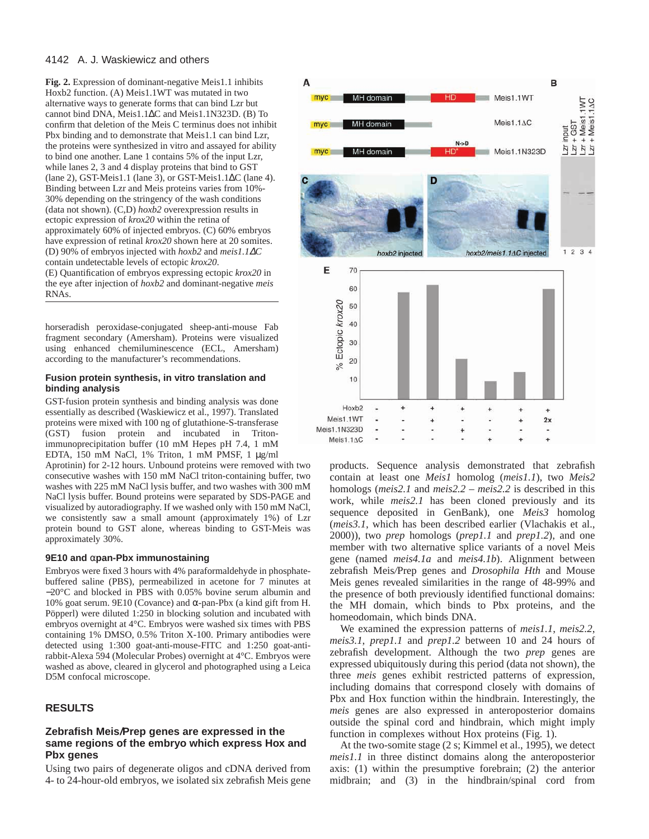**Fig. 2.** Expression of dominant-negative Meis1.1 inhibits Hoxb2 function. (A) Meis1.1WT was mutated in two alternative ways to generate forms that can bind Lzr but cannot bind DNA, Meis1.1∆C and Meis1.1N323D. (B) To confirm that deletion of the Meis C terminus does not inhibit Pbx binding and to demonstrate that Meis1.1 can bind Lzr, the proteins were synthesized in vitro and assayed for ability to bind one another. Lane 1 contains 5% of the input Lzr, while lanes 2, 3 and 4 display proteins that bind to GST (lane 2), GST-Meis1.1 (lane 3), or GST-Meis1.1∆C (lane 4). Binding between Lzr and Meis proteins varies from 10%- 30% depending on the stringency of the wash conditions (data not shown). (C,D) *hoxb2* overexpression results in ectopic expression of *krox20* within the retina of approximately 60% of injected embryos. (C) 60% embryos have expression of retinal *krox20* shown here at 20 somites. (D) 90% of embryos injected with *hoxb2* and *meis1.1*∆*C* contain undetectable levels of ectopic *krox20*. (E) Quantification of embryos expressing ectopic *krox20* in the eye after injection of *hoxb2* and dominant-negative *meis* RNAs.

horseradish peroxidase-conjugated sheep-anti-mouse Fab fragment secondary (Amersham). Proteins were visualized using enhanced chemiluminescence (ECL, Amersham) according to the manufacturer's recommendations.

# **Fusion protein synthesis, in vitro translation and binding analysis**

GST-fusion protein synthesis and binding analysis was done essentially as described (Waskiewicz et al., 1997). Translated proteins were mixed with 100 ng of glutathione-S-transferase (GST) fusion protein and incubated in Tritonimmunoprecipitation buffer (10 mM Hepes pH 7.4, 1 mM EDTA, 150 mM NaCl, 1% Triton, 1 mM PMSF, 1 µg/ml

Aprotinin) for 2-12 hours. Unbound proteins were removed with two consecutive washes with 150 mM NaCl triton-containing buffer, two washes with 225 mM NaCl lysis buffer, and two washes with 300 mM NaCl lysis buffer. Bound proteins were separated by SDS-PAGE and visualized by autoradiography. If we washed only with 150 mM NaCl, we consistently saw a small amount (approximately 1%) of Lzr protein bound to GST alone, whereas binding to GST-Meis was approximately 30%.

#### **9E10 and** α**pan-Pbx immunostaining**

Embryos were fixed 3 hours with 4% paraformaldehyde in phosphatebuffered saline (PBS), permeabilized in acetone for 7 minutes at −20°C and blocked in PBS with 0.05% bovine serum albumin and 10% goat serum. 9E10 (Covance) and α-pan-Pbx (a kind gift from H. Pöpperl) were diluted 1:250 in blocking solution and incubated with embryos overnight at 4°C. Embryos were washed six times with PBS containing 1% DMSO, 0.5% Triton X-100. Primary antibodies were detected using 1:300 goat-anti-mouse-FITC and 1:250 goat-antirabbit-Alexa 594 (Molecular Probes) overnight at 4°C. Embryos were washed as above, cleared in glycerol and photographed using a Leica D5M confocal microscope.

# **RESULTS**

# **Zebrafish Meis/Prep genes are expressed in the same regions of the embryo which express Hox and Pbx genes**

Using two pairs of degenerate oligos and cDNA derived from 4- to 24-hour-old embryos, we isolated six zebrafish Meis gene



products. Sequence analysis demonstrated that zebrafish contain at least one *Meis1* homolog (*meis1.1*), two *Meis2* homologs (*meis2.1* and *meis2.2 – meis2.2* is described in this work, while *meis2.1* has been cloned previously and its sequence deposited in GenBank), one *Meis3* homolog (*meis3.1*, which has been described earlier (Vlachakis et al., 2000)), two *prep* homologs (*prep1.1* and *prep1.2*), and one member with two alternative splice variants of a novel Meis gene (named *meis4.1a* and *meis4.1b*). Alignment between zebrafish Meis*/*Prep genes and *Drosophila Hth* and Mouse Meis genes revealed similarities in the range of 48-99% and the presence of both previously identified functional domains: the MH domain, which binds to Pbx proteins, and the homeodomain, which binds DNA.

We examined the expression patterns of *meis1.1*, *meis2.2*, *meis3.1*, *prep1.1* and *prep1.2* between 10 and 24 hours of zebrafish development. Although the two *prep* genes are expressed ubiquitously during this period (data not shown), the three *meis* genes exhibit restricted patterns of expression, including domains that correspond closely with domains of Pbx and Hox function within the hindbrain. Interestingly, the *meis* genes are also expressed in anteroposterior domains outside the spinal cord and hindbrain, which might imply function in complexes without Hox proteins (Fig. 1).

At the two-somite stage (2 s; Kimmel et al., 1995), we detect *meis1.1* in three distinct domains along the anteroposterior axis: (1) within the presumptive forebrain; (2) the anterior midbrain; and (3) in the hindbrain/spinal cord from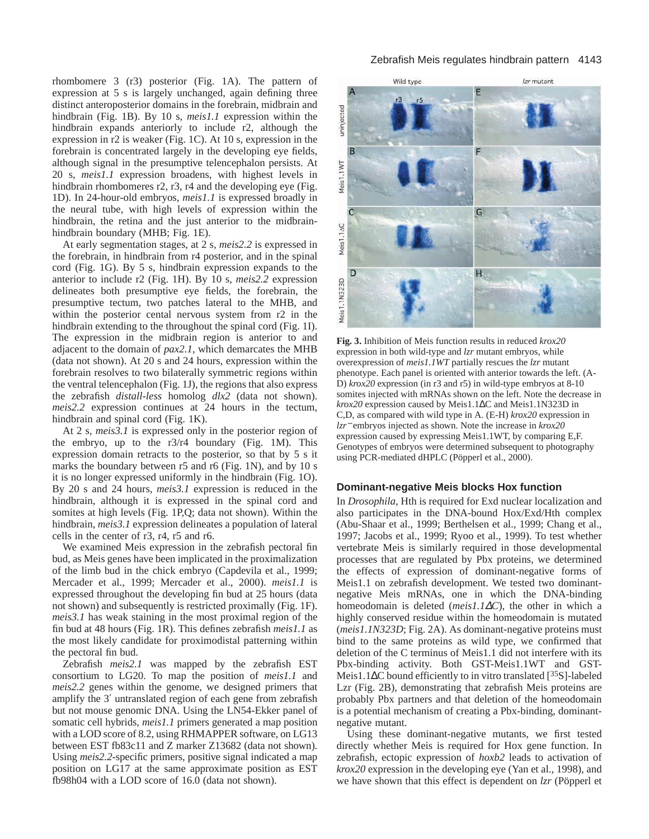rhombomere 3 (r3) posterior (Fig. 1A). The pattern of expression at 5 s is largely unchanged, again defining three distinct anteroposterior domains in the forebrain, midbrain and hindbrain (Fig. 1B). By 10 s, *meis1.1* expression within the hindbrain expands anteriorly to include r2, although the expression in r2 is weaker (Fig. 1C). At 10 s, expression in the forebrain is concentrated largely in the developing eye fields, although signal in the presumptive telencephalon persists. At 20 s, *meis1.1* expression broadens, with highest levels in hindbrain rhombomeres r2, r3, r4 and the developing eye (Fig. 1D). In 24-hour-old embryos, *meis1.1* is expressed broadly in the neural tube, with high levels of expression within the hindbrain, the retina and the just anterior to the midbrainhindbrain boundary (MHB; Fig. 1E).

At early segmentation stages, at 2 s, *meis2.2* is expressed in the forebrain, in hindbrain from r4 posterior, and in the spinal cord (Fig. 1G). By 5 s, hindbrain expression expands to the anterior to include r2 (Fig. 1H). By 10 s, *meis2.2* expression delineates both presumptive eye fields, the forebrain, the presumptive tectum, two patches lateral to the MHB, and within the posterior cental nervous system from r2 in the hindbrain extending to the throughout the spinal cord (Fig. 1I). The expression in the midbrain region is anterior to and adjacent to the domain of *pax2.1*, which demarcates the MHB (data not shown). At 20 s and 24 hours, expression within the forebrain resolves to two bilaterally symmetric regions within the ventral telencephalon (Fig. 1J), the regions that also express the zebrafish *distall-less* homolog *dlx2* (data not shown). *meis2.2* expression continues at 24 hours in the tectum, hindbrain and spinal cord (Fig. 1K).

At 2 s, *meis3.1* is expressed only in the posterior region of the embryo, up to the r3/r4 boundary (Fig. 1M). This expression domain retracts to the posterior, so that by 5 s it marks the boundary between r5 and r6 (Fig. 1N), and by 10 s it is no longer expressed uniformly in the hindbrain (Fig. 1O). By 20 s and 24 hours, *meis3.1* expression is reduced in the hindbrain, although it is expressed in the spinal cord and somites at high levels (Fig. 1P,Q; data not shown). Within the hindbrain, *meis3.1* expression delineates a population of lateral cells in the center of r3, r4, r5 and r6.

We examined Meis expression in the zebrafish pectoral fin bud, as Meis genes have been implicated in the proximalization of the limb bud in the chick embryo (Capdevila et al., 1999; Mercader et al., 1999; Mercader et al., 2000). *meis1.1* is expressed throughout the developing fin bud at 25 hours (data not shown) and subsequently is restricted proximally (Fig. 1F). *meis3.1* has weak staining in the most proximal region of the fin bud at 48 hours (Fig. 1R). This defines zebrafish *meis1.1* as the most likely candidate for proximodistal patterning within the pectoral fin bud.

Zebrafish *meis2.1* was mapped by the zebrafish EST consortium to LG20. To map the position of *meis1.1* and *meis2.2* genes within the genome, we designed primers that amplify the 3′ untranslated region of each gene from zebrafish but not mouse genomic DNA. Using the LN54-Ekker panel of somatic cell hybrids, *meis1.1* primers generated a map position with a LOD score of 8.2, using RHMAPPER software, on LG13 between EST fb83c11 and Z marker Z13682 (data not shown). Using *meis2.2*-specific primers, positive signal indicated a map position on LG17 at the same approximate position as EST fb98h04 with a LOD score of 16.0 (data not shown).

# Zebrafish Meis regulates hindbrain pattern 4143



**Fig. 3.** Inhibition of Meis function results in reduced *krox20* expression in both wild-type and *lzr* mutant embryos, while overexpression of *meis1.1WT* partially rescues the *lzr* mutant phenotype. Each panel is oriented with anterior towards the left. (A-D) *krox20* expression (in r3 and r5) in wild-type embryos at 8-10 somites injected with mRNAs shown on the left. Note the decrease in *krox20* expression caused by Meis1.1∆C and Meis1.1N323D in C,D, as compared with wild type in A. (E-H) *krox20* expression in *lzr*<sup>−</sup> embryos injected as shown. Note the increase in *krox20* expression caused by expressing Meis1.1WT, by comparing E,F. Genotypes of embryos were determined subsequent to photography using PCR-mediated dHPLC (Pöpperl et al., 2000).

# **Dominant-negative Meis blocks Hox function**

In *Drosophila*, Hth is required for Exd nuclear localization and also participates in the DNA-bound Hox/Exd/Hth complex (Abu-Shaar et al., 1999; Berthelsen et al., 1999; Chang et al., 1997; Jacobs et al., 1999; Ryoo et al., 1999). To test whether vertebrate Meis is similarly required in those developmental processes that are regulated by Pbx proteins, we determined the effects of expression of dominant-negative forms of Meis1.1 on zebrafish development. We tested two dominantnegative Meis mRNAs, one in which the DNA-binding homeodomain is deleted (*meis1.1*∆*C*), the other in which a highly conserved residue within the homeodomain is mutated (*meis1.1N323D*; Fig. 2A). As dominant-negative proteins must bind to the same proteins as wild type, we confirmed that deletion of the C terminus of Meis1.1 did not interfere with its Pbx-binding activity. Both GST-Meis1.1WT and GST-Meis1.1∆C bound efficiently to in vitro translated [<sup>35</sup>S]-labeled Lzr (Fig. 2B), demonstrating that zebrafish Meis proteins are probably Pbx partners and that deletion of the homeodomain is a potential mechanism of creating a Pbx-binding, dominantnegative mutant.

Using these dominant-negative mutants, we first tested directly whether Meis is required for Hox gene function. In zebrafish, ectopic expression of *hoxb2* leads to activation of *krox20* expression in the developing eye (Yan et al., 1998), and we have shown that this effect is dependent on *lzr* (Pöpperl et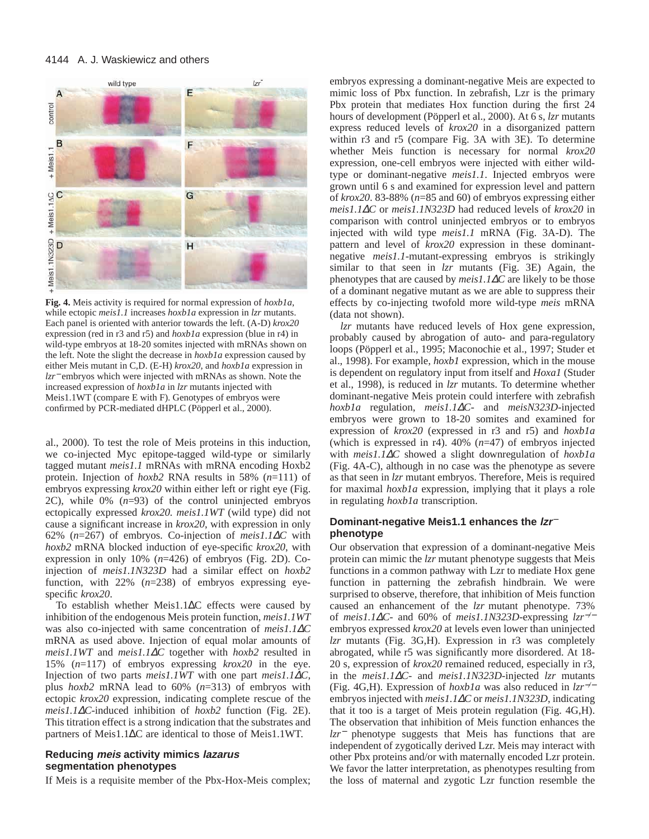

**Fig. 4.** Meis activity is required for normal expression of *hoxb1a*, while ectopic *meis1.1* increases *hoxb1a* expression in *lzr* mutants. Each panel is oriented with anterior towards the left. (A-D) *krox20* expression (red in r3 and r5) and *hoxb1a* expression (blue in r4) in wild-type embryos at 18-20 somites injected with mRNAs shown on the left. Note the slight the decrease in *hoxb1a* expression caused by either Meis mutant in C,D. (E-H) *krox20*, and *hoxb1a* expression in *lzr*<sup>−</sup> embryos which were injected with mRNAs as shown. Note the increased expression of *hoxb1a* in *lzr* mutants injected with Meis1.1WT (compare E with F). Genotypes of embryos were confirmed by PCR-mediated dHPLC (Pöpperl et al., 2000).

al., 2000). To test the role of Meis proteins in this induction, we co-injected Myc epitope-tagged wild-type or similarly tagged mutant *meis1.1* mRNAs with mRNA encoding Hoxb2 protein. Injection of *hoxb2* RNA results in 58% (*n*=111) of embryos expressing *krox20* within either left or right eye (Fig. 2C), while 0% (*n*=93) of the control uninjected embryos ectopically expressed *krox20. meis1.1WT* (wild type) did not cause a significant increase in *krox20*, with expression in only 62% (*n*=267) of embryos. Co-injection of *meis1.1*∆*C* with *hoxb2* mRNA blocked induction of eye-specific *krox20*, with expression in only 10% (*n*=426) of embryos (Fig. 2D). Coinjection of *meis1.1N323D* had a similar effect on *hoxb2* function, with 22% (*n*=238) of embryos expressing eyespecific *krox20*.

To establish whether Meis1.1∆C effects were caused by inhibition of the endogenous Meis protein function, *meis1.1WT* was also co-injected with same concentration of *meis1.1*∆*C* mRNA as used above. Injection of equal molar amounts of *meis1.1WT* and *meis1.1*∆*C* together with *hoxb2* resulted in 15% (*n*=117) of embryos expressing *krox20* in the eye. Injection of two parts *meis1.1WT* with one part *meis1.1*∆*C*, plus *hoxb2* mRNA lead to 60% (*n*=313) of embryos with ectopic *krox20* expression, indicating complete rescue of the *meis1.1*∆*C*-induced inhibition of *hoxb2* function (Fig. 2E). This titration effect is a strong indication that the substrates and partners of Meis1.1∆C are identical to those of Meis1.1WT.

## **Reducing meis activity mimics lazarus segmentation phenotypes**

If Meis is a requisite member of the Pbx-Hox-Meis complex;

embryos expressing a dominant-negative Meis are expected to mimic loss of Pbx function. In zebrafish, Lzr is the primary Pbx protein that mediates Hox function during the first 24 hours of development (Pöpperl et al., 2000). At 6 s, *lzr* mutants express reduced levels of *krox20* in a disorganized pattern within r3 and r5 (compare Fig. 3A with 3E). To determine whether Meis function is necessary for normal *krox20* expression, one-cell embryos were injected with either wildtype or dominant-negative *meis1.1*. Injected embryos were grown until 6 s and examined for expression level and pattern of *krox20*. 83-88% (*n*=85 and 60) of embryos expressing either *meis1.1*∆*C* or *meis1.1N323D* had reduced levels of *krox20* in comparison with control uninjected embryos or to embryos injected with wild type *meis1.1* mRNA (Fig. 3A-D). The pattern and level of *krox20* expression in these dominantnegative *meis1.1*-mutant-expressing embryos is strikingly similar to that seen in *lzr* mutants (Fig. 3E) Again, the phenotypes that are caused by *meis1.1*∆*C* are likely to be those of a dominant negative mutant as we are able to suppress their effects by co-injecting twofold more wild-type *meis* mRNA (data not shown).

*lzr* mutants have reduced levels of Hox gene expression, probably caused by abrogation of auto- and para-regulatory loops (Pöpperl et al., 1995; Maconochie et al., 1997; Studer et al., 1998). For example, *hoxb1* expression, which in the mouse is dependent on regulatory input from itself and *Hoxa1* (Studer et al., 1998), is reduced in *lzr* mutants. To determine whether dominant-negative Meis protein could interfere with zebrafish *hoxb1a* regulation, *meis1.1*∆*C*- and *meisN323D*-injected embryos were grown to 18-20 somites and examined for expression of *krox20* (expressed in r3 and r5) and *hoxb1a* (which is expressed in r4). 40% (*n*=47) of embryos injected with *meis1.1*∆*C* showed a slight downregulation of *hoxb1a* (Fig. 4A-C), although in no case was the phenotype as severe as that seen in *lzr* mutant embryos. Therefore, Meis is required for maximal *hoxb1a* expression, implying that it plays a role in regulating *hoxb1a* transcription.

# **Dominant-negative Meis1.1 enhances the lzr**<sup>−</sup> **phenotype**

Our observation that expression of a dominant-negative Meis protein can mimic the *lzr* mutant phenotype suggests that Meis functions in a common pathway with Lzr to mediate Hox gene function in patterning the zebrafish hindbrain. We were surprised to observe, therefore, that inhibition of Meis function caused an enhancement of the *lzr* mutant phenotype. 73% of *meis1.1*∆*C*- and 60% of *meis1.1N323D*-expressing *lzr*−*/*<sup>−</sup> embryos expressed *krox20* at levels even lower than uninjected *lzr* mutants (Fig. 3G,H). Expression in r3 was completely abrogated, while r5 was significantly more disordered. At 18- 20 s, expression of *krox20* remained reduced, especially in r3, in the *meis1.1*∆*C*- and *meis1.1N323D*-injected *lzr* mutants (Fig. 4G,H). Expression of *hoxb1a* was also reduced in *lzr*−*/*<sup>−</sup> embryos injected with *meis1.1*∆*C* or *meis1.1N323D*, indicating that it too is a target of Meis protein regulation (Fig. 4G,H). The observation that inhibition of Meis function enhances the *lzr*<sup>−</sup> phenotype suggests that Meis has functions that are independent of zygotically derived Lzr. Meis may interact with other Pbx proteins and/or with maternally encoded Lzr protein. We favor the latter interpretation, as phenotypes resulting from the loss of maternal and zygotic Lzr function resemble the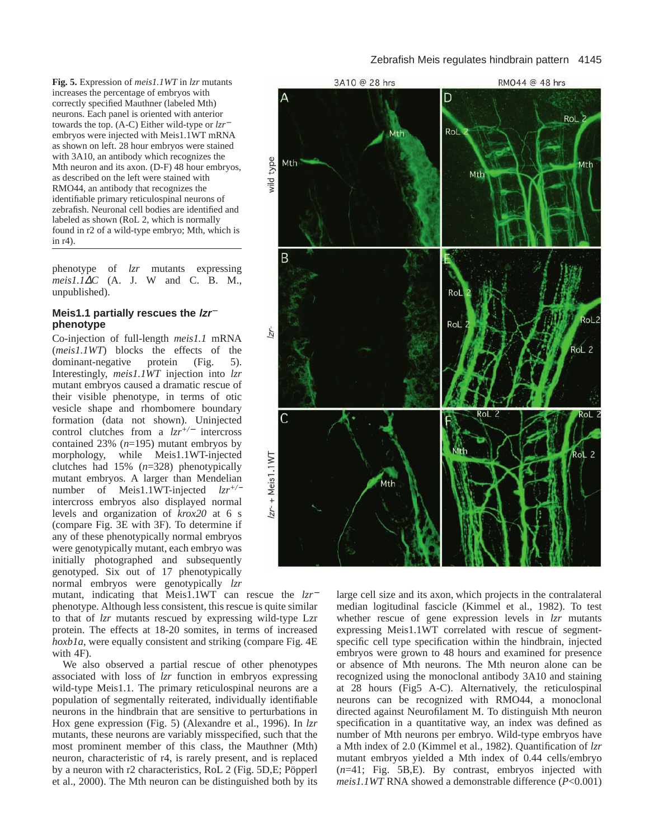## Zebrafish Meis regulates hindbrain pattern 4145

**Fig. 5.** Expression of *meis1.1WT* in *lzr* mutants increases the percentage of embryos with correctly specified Mauthner (labeled Mth) neurons. Each panel is oriented with anterior towards the top. (A-C) Either wild-type or *lzr*<sup>−</sup> embryos were injected with Meis1.1WT mRNA as shown on left. 28 hour embryos were stained with 3A10, an antibody which recognizes the Mth neuron and its axon. (D-F) 48 hour embryos, as described on the left were stained with RMO44, an antibody that recognizes the identifiable primary reticulospinal neurons of zebrafish. Neuronal cell bodies are identified and labeled as shown (RoL 2, which is normally found in r2 of a wild-type embryo; Mth, which is in r4).

phenotype of *lzr* mutants expressing *meis1.1*∆*C* (A. J. W and C. B. M., unpublished).

# **Meis1.1 partially rescues the lzr**<sup>−</sup> **phenotype**

Co-injection of full-length *meis1.1* mRNA (*meis1.1WT*) blocks the effects of the dominant-negative protein (Fig. 5). Interestingly, *meis1.1WT* injection into *lzr* mutant embryos caused a dramatic rescue of their visible phenotype, in terms of otic vesicle shape and rhombomere boundary formation (data not shown). Uninjected control clutches from a *lzr+/*<sup>−</sup> intercross contained 23% (*n*=195) mutant embryos by morphology, while Meis1.1WT-injected clutches had 15% (*n*=328) phenotypically mutant embryos. A larger than Mendelian number of Meis1.1WT-injected *lzr+/*<sup>−</sup> intercross embryos also displayed normal levels and organization of *krox20* at 6 s (compare Fig. 3E with 3F). To determine if any of these phenotypically normal embryos were genotypically mutant, each embryo was initially photographed and subsequently genotyped. Six out of 17 phenotypically normal embryos were genotypically *lzr*

mutant, indicating that Meis1.1WT can rescue the *lzr*<sup>−</sup> phenotype. Although less consistent, this rescue is quite similar to that of *lzr* mutants rescued by expressing wild-type Lzr protein. The effects at 18-20 somites, in terms of increased *hoxb1a*, were equally consistent and striking (compare Fig. 4E with 4F).

We also observed a partial rescue of other phenotypes associated with loss of *lzr* function in embryos expressing wild-type Meis1.1. The primary reticulospinal neurons are a population of segmentally reiterated, individually identifiable neurons in the hindbrain that are sensitive to perturbations in Hox gene expression (Fig. 5) (Alexandre et al., 1996). In *lzr* mutants, these neurons are variably misspecified, such that the most prominent member of this class, the Mauthner (Mth) neuron, characteristic of r4, is rarely present, and is replaced by a neuron with r2 characteristics, RoL 2 (Fig. 5D,E; Pöpperl et al., 2000). The Mth neuron can be distinguished both by its



large cell size and its axon, which projects in the contralateral median logitudinal fascicle (Kimmel et al., 1982). To test whether rescue of gene expression levels in *lzr* mutants expressing Meis1.1WT correlated with rescue of segmentspecific cell type specification within the hindbrain, injected embryos were grown to 48 hours and examined for presence or absence of Mth neurons. The Mth neuron alone can be recognized using the monoclonal antibody 3A10 and staining at 28 hours (Fig5 A-C). Alternatively, the reticulospinal neurons can be recognized with RMO44, a monoclonal directed against Neurofilament M. To distinguish Mth neuron specification in a quantitative way, an index was defined as number of Mth neurons per embryo. Wild-type embryos have a Mth index of 2.0 (Kimmel et al., 1982). Quantification of *lzr* mutant embryos yielded a Mth index of 0.44 cells/embryo (*n*=41; Fig. 5B,E). By contrast, embryos injected with *meis1.1WT* RNA showed a demonstrable difference (*P*<0.001)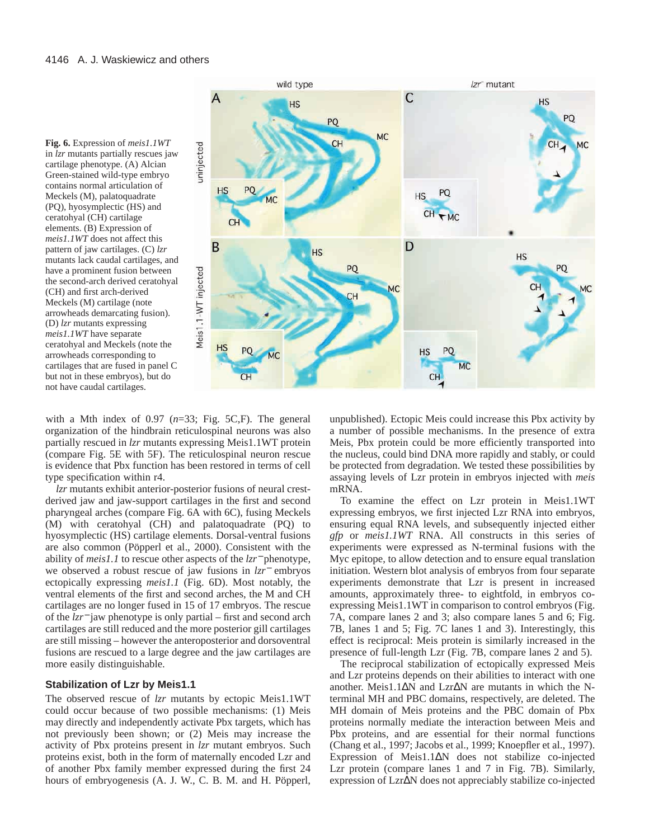

with a Mth index of 0.97 (*n*=33; Fig. 5C,F). The general organization of the hindbrain reticulospinal neurons was also partially rescued in *lzr* mutants expressing Meis1.1WT protein (compare Fig. 5E with 5F). The reticulospinal neuron rescue is evidence that Pbx function has been restored in terms of cell type specification within r4.

*lzr* mutants exhibit anterior-posterior fusions of neural crestderived jaw and jaw-support cartilages in the first and second pharyngeal arches (compare Fig. 6A with 6C), fusing Meckels (M) with ceratohyal (CH) and palatoquadrate (PQ) to hyosymplectic (HS) cartilage elements. Dorsal-ventral fusions are also common (Pöpperl et al., 2000). Consistent with the ability of *meis1.1* to rescue other aspects of the *lzr*<sup>−</sup> phenotype, we observed a robust rescue of jaw fusions in *lzr*<sup>−</sup> embryos ectopically expressing *meis1.1* (Fig. 6D). Most notably, the ventral elements of the first and second arches, the M and CH cartilages are no longer fused in 15 of 17 embryos. The rescue of the *lzr*<sup>−</sup> jaw phenotype is only partial – first and second arch cartilages are still reduced and the more posterior gill cartilages are still missing – however the anteroposterior and dorsoventral fusions are rescued to a large degree and the jaw cartilages are more easily distinguishable.

# **Stabilization of Lzr by Meis1.1**

The observed rescue of *lzr* mutants by ectopic Meis1.1WT could occur because of two possible mechanisms: (1) Meis may directly and independently activate Pbx targets, which has not previously been shown; or (2) Meis may increase the activity of Pbx proteins present in *lzr* mutant embryos. Such proteins exist, both in the form of maternally encoded Lzr and of another Pbx family member expressed during the first 24 hours of embryogenesis (A. J. W., C. B. M. and H. Pöpperl,

unpublished). Ectopic Meis could increase this Pbx activity by a number of possible mechanisms. In the presence of extra Meis, Pbx protein could be more efficiently transported into the nucleus, could bind DNA more rapidly and stably, or could be protected from degradation. We tested these possibilities by assaying levels of Lzr protein in embryos injected with *meis* mRNA.

To examine the effect on Lzr protein in Meis1.1WT expressing embryos, we first injected Lzr RNA into embryos, ensuring equal RNA levels, and subsequently injected either *gfp* or *meis1.1WT* RNA. All constructs in this series of experiments were expressed as N-terminal fusions with the Myc epitope, to allow detection and to ensure equal translation initiation. Western blot analysis of embryos from four separate experiments demonstrate that Lzr is present in increased amounts, approximately three- to eightfold, in embryos coexpressing Meis1.1WT in comparison to control embryos (Fig. 7A, compare lanes 2 and 3; also compare lanes 5 and 6; Fig. 7B, lanes 1 and 5; Fig. 7C lanes 1 and 3). Interestingly, this effect is reciprocal: Meis protein is similarly increased in the presence of full-length Lzr (Fig. 7B, compare lanes 2 and 5).

The reciprocal stabilization of ectopically expressed Meis and Lzr proteins depends on their abilities to interact with one another. Meis1.1∆N and Lzr∆N are mutants in which the Nterminal MH and PBC domains, respectively, are deleted. The MH domain of Meis proteins and the PBC domain of Pbx proteins normally mediate the interaction between Meis and Pbx proteins, and are essential for their normal functions (Chang et al., 1997; Jacobs et al., 1999; Knoepfler et al., 1997). Expression of Meis1.1∆N does not stabilize co-injected Lzr protein (compare lanes 1 and 7 in Fig. 7B). Similarly, expression of Lzr∆N does not appreciably stabilize co-injected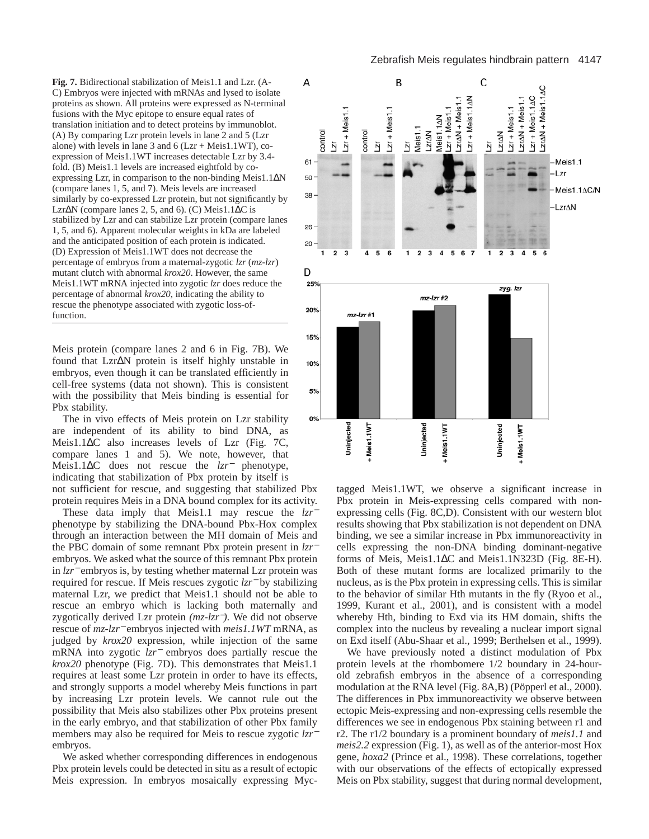**Fig. 7.** Bidirectional stabilization of Meis1.1 and Lzr. (A-C) Embryos were injected with mRNAs and lysed to isolate proteins as shown. All proteins were expressed as N-terminal fusions with the Myc epitope to ensure equal rates of translation initiation and to detect proteins by immunoblot. (A) By comparing Lzr protein levels in lane 2 and 5 (Lzr alone) with levels in lane 3 and 6 ( $Lz$ r + Meis1.1WT), coexpression of Meis1.1WT increases detectable Lzr by 3.4 fold. (B) Meis1.1 levels are increased eightfold by coexpressing Lzr, in comparison to the non-binding Meis1.1∆N (compare lanes 1, 5, and 7). Meis levels are increased similarly by co-expressed Lzr protein, but not significantly by Lzr∆N (compare lanes 2, 5, and 6). (C) Meis1.1∆C is stabilized by Lzr and can stabilize Lzr protein (compare lanes 1, 5, and 6). Apparent molecular weights in kDa are labeled and the anticipated position of each protein is indicated. (D) Expression of Meis1.1WT does not decrease the percentage of embryos from a maternal-zygotic *lzr* (*mz-lzr*) mutant clutch with abnormal *krox20*. However, the same Meis1.1WT mRNA injected into zygotic *lzr* does reduce the percentage of abnormal *krox20*, indicating the ability to rescue the phenotype associated with zygotic loss-offunction.

Meis protein (compare lanes 2 and 6 in Fig. 7B). We found that Lzr∆N protein is itself highly unstable in embryos, even though it can be translated efficiently in cell-free systems (data not shown). This is consistent with the possibility that Meis binding is essential for Pbx stability.

The in vivo effects of Meis protein on Lzr stability are independent of its ability to bind DNA, as Meis1.1∆C also increases levels of Lzr (Fig. 7C, compare lanes 1 and 5). We note, however, that Meis1.1∆C does not rescue the *lzr*<sup>−</sup> phenotype, indicating that stabilization of Pbx protein by itself is not sufficient for rescue, and suggesting that stabilized Pbx

protein requires Meis in a DNA bound complex for its activity. These data imply that Meis1.1 may rescue the *lzr*<sup>−</sup> phenotype by stabilizing the DNA-bound Pbx-Hox complex through an interaction between the MH domain of Meis and the PBC domain of some remnant Pbx protein present in *lzr*<sup>−</sup> embryos. We asked what the source of this remnant Pbx protein in *lzr*<sup>−</sup> embryos is, by testing whether maternal Lzr protein was required for rescue. If Meis rescues zygotic *lzr*<sup>−</sup> by stabilizing maternal Lzr, we predict that Meis1.1 should not be able to rescue an embryo which is lacking both maternally and zygotically derived Lzr protein *(mz-lzr*−*).* We did not observe rescue of *mz*-*lzr*<sup>−</sup> embryos injected with *meis1.1WT* mRNA, as judged by *krox20* expression, while injection of the same mRNA into zygotic *lzr*<sup>−</sup> embryos does partially rescue the *krox20* phenotype (Fig. 7D). This demonstrates that Meis1.1 requires at least some Lzr protein in order to have its effects, and strongly supports a model whereby Meis functions in part by increasing Lzr protein levels. We cannot rule out the possibility that Meis also stabilizes other Pbx proteins present in the early embryo, and that stabilization of other Pbx family members may also be required for Meis to rescue zygotic *lzr*<sup>−</sup> embryos.

We asked whether corresponding differences in endogenous Pbx protein levels could be detected in situ as a result of ectopic Meis expression. In embryos mosaically expressing Myc-



tagged Meis1.1WT, we observe a significant increase in Pbx protein in Meis-expressing cells compared with nonexpressing cells (Fig. 8C,D). Consistent with our western blot results showing that Pbx stabilization is not dependent on DNA binding, we see a similar increase in Pbx immunoreactivity in cells expressing the non-DNA binding dominant-negative forms of Meis, Meis1.1∆C and Meis1.1N323D (Fig. 8E-H). Both of these mutant forms are localized primarily to the nucleus, as is the Pbx protein in expressing cells. This is similar to the behavior of similar Hth mutants in the fly (Ryoo et al., 1999, Kurant et al., 2001), and is consistent with a model whereby Hth, binding to Exd via its HM domain, shifts the complex into the nucleus by revealing a nuclear import signal on Exd itself (Abu-Shaar et al., 1999; Berthelsen et al., 1999).

We have previously noted a distinct modulation of Pbx protein levels at the rhombomere 1/2 boundary in 24-hourold zebrafish embryos in the absence of a corresponding modulation at the RNA level (Fig. 8A,B) (Pöpperl et al., 2000). The differences in Pbx immunoreactivity we observe between ectopic Meis-expressing and non-expressing cells resemble the differences we see in endogenous Pbx staining between r1 and r2. The r1/2 boundary is a prominent boundary of *meis1.1* and *meis2.2* expression (Fig. 1), as well as of the anterior-most Hox gene, *hoxa2* (Prince et al., 1998). These correlations, together with our observations of the effects of ectopically expressed Meis on Pbx stability, suggest that during normal development,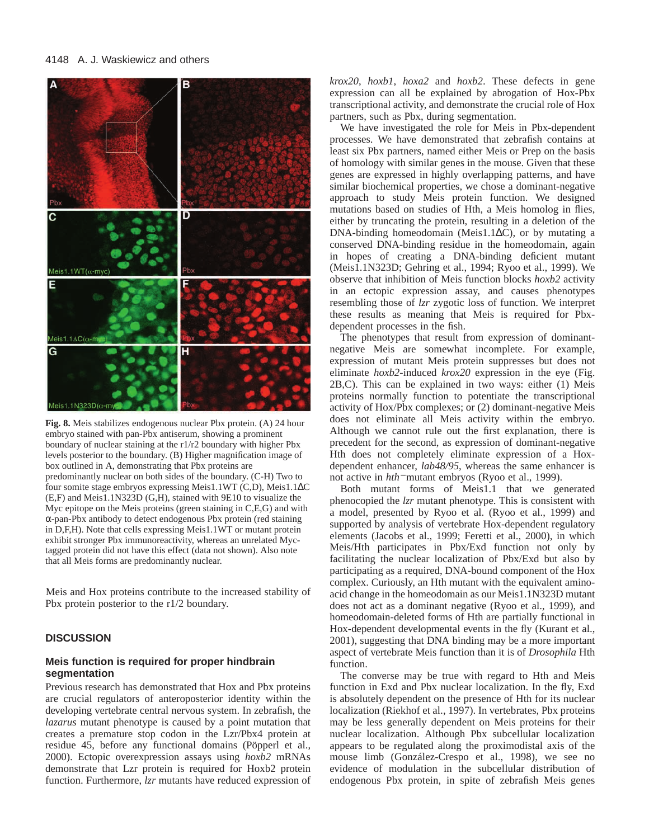

**Fig. 8.** Meis stabilizes endogenous nuclear Pbx protein. (A) 24 hour embryo stained with pan-Pbx antiserum, showing a prominent boundary of nuclear staining at the r1/r2 boundary with higher Pbx levels posterior to the boundary. (B) Higher magnification image of box outlined in A, demonstrating that Pbx proteins are predominantly nuclear on both sides of the boundary. (C-H) Two to four somite stage embryos expressing Meis1.1WT (C,D), Meis1.1∆C (E,F) and Meis1.1N323D (G,H), stained with 9E10 to visualize the Myc epitope on the Meis proteins (green staining in C,E,G) and with α-pan-Pbx antibody to detect endogenous Pbx protein (red staining in D,F,H). Note that cells expressing Meis1.1WT or mutant protein exhibit stronger Pbx immunoreactivity, whereas an unrelated Myctagged protein did not have this effect (data not shown). Also note that all Meis forms are predominantly nuclear.

Meis and Hox proteins contribute to the increased stability of Pbx protein posterior to the r1/2 boundary.

## **DISCUSSION**

# **Meis function is required for proper hindbrain segmentation**

Previous research has demonstrated that Hox and Pbx proteins are crucial regulators of anteroposterior identity within the developing vertebrate central nervous system. In zebrafish, the *lazarus* mutant phenotype is caused by a point mutation that creates a premature stop codon in the Lzr/Pbx4 protein at residue 45, before any functional domains (Pöpperl et al., 2000). Ectopic overexpression assays using *hoxb2* mRNAs demonstrate that Lzr protein is required for Hoxb2 protein function. Furthermore, *lzr* mutants have reduced expression of

*krox20*, *hoxb1*, *hoxa2* and *hoxb2*. These defects in gene expression can all be explained by abrogation of Hox-Pbx transcriptional activity, and demonstrate the crucial role of Hox partners, such as Pbx, during segmentation.

We have investigated the role for Meis in Pbx-dependent processes. We have demonstrated that zebrafish contains at least six Pbx partners, named either Meis or Prep on the basis of homology with similar genes in the mouse. Given that these genes are expressed in highly overlapping patterns, and have similar biochemical properties, we chose a dominant-negative approach to study Meis protein function. We designed mutations based on studies of Hth, a Meis homolog in flies, either by truncating the protein, resulting in a deletion of the DNA-binding homeodomain (Meis1.1∆C), or by mutating a conserved DNA-binding residue in the homeodomain, again in hopes of creating a DNA-binding deficient mutant (Meis1.1N323D; Gehring et al., 1994; Ryoo et al., 1999). We observe that inhibition of Meis function blocks *hoxb2* activity in an ectopic expression assay, and causes phenotypes resembling those of *lzr* zygotic loss of function. We interpret these results as meaning that Meis is required for Pbxdependent processes in the fish.

The phenotypes that result from expression of dominantnegative Meis are somewhat incomplete. For example, expression of mutant Meis protein suppresses but does not eliminate *hoxb2-*induced *krox20* expression in the eye (Fig. 2B,C). This can be explained in two ways: either (1) Meis proteins normally function to potentiate the transcriptional activity of Hox/Pbx complexes; or (2) dominant-negative Meis does not eliminate all Meis activity within the embryo. Although we cannot rule out the first explanation, there is precedent for the second, as expression of dominant-negative Hth does not completely eliminate expression of a Hoxdependent enhancer, *lab48/95*, whereas the same enhancer is not active in *hth*<sup>−</sup> mutant embryos (Ryoo et al., 1999).

Both mutant forms of Meis1.1 that we generated phenocopied the *lzr* mutant phenotype. This is consistent with a model, presented by Ryoo et al. (Ryoo et al., 1999) and supported by analysis of vertebrate Hox-dependent regulatory elements (Jacobs et al., 1999; Feretti et al., 2000), in which Meis/Hth participates in Pbx/Exd function not only by facilitating the nuclear localization of Pbx/Exd but also by participating as a required, DNA-bound component of the Hox complex. Curiously, an Hth mutant with the equivalent aminoacid change in the homeodomain as our Meis1.1N323D mutant does not act as a dominant negative (Ryoo et al., 1999), and homeodomain-deleted forms of Hth are partially functional in Hox-dependent developmental events in the fly (Kurant et al., 2001), suggesting that DNA binding may be a more important aspect of vertebrate Meis function than it is of *Drosophila* Hth function.

The converse may be true with regard to Hth and Meis function in Exd and Pbx nuclear localization. In the fly, Exd is absolutely dependent on the presence of Hth for its nuclear localization (Riekhof et al., 1997). In vertebrates, Pbx proteins may be less generally dependent on Meis proteins for their nuclear localization. Although Pbx subcellular localization appears to be regulated along the proximodistal axis of the mouse limb (González-Crespo et al., 1998), we see no evidence of modulation in the subcellular distribution of endogenous Pbx protein, in spite of zebrafish Meis genes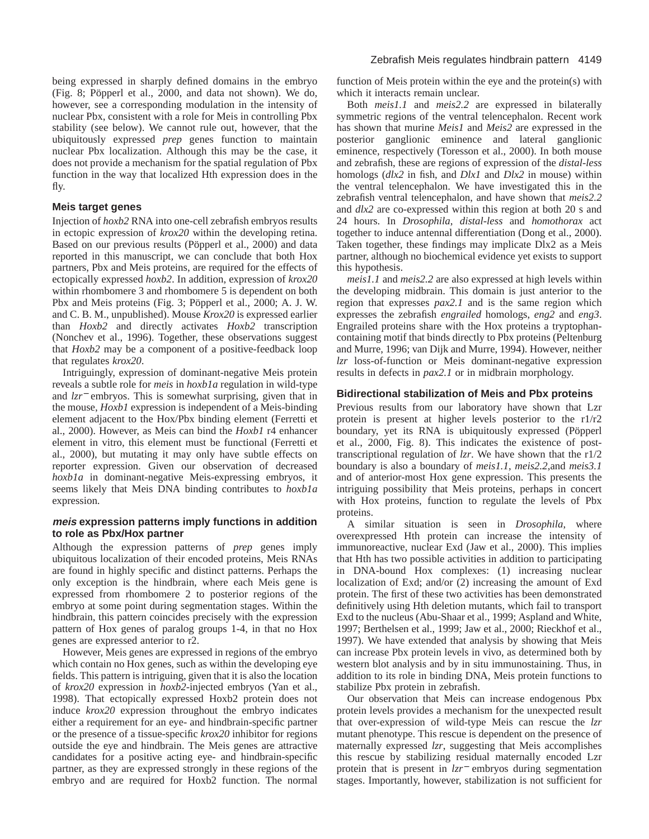being expressed in sharply defined domains in the embryo (Fig. 8; Pöpperl et al., 2000, and data not shown). We do, however, see a corresponding modulation in the intensity of nuclear Pbx, consistent with a role for Meis in controlling Pbx stability (see below). We cannot rule out, however, that the ubiquitously expressed *prep* genes function to maintain nuclear Pbx localization. Although this may be the case, it does not provide a mechanism for the spatial regulation of Pbx function in the way that localized Hth expression does in the fly.

# **Meis target genes**

Injection of *hoxb2* RNA into one-cell zebrafish embryos results in ectopic expression of *krox20* within the developing retina. Based on our previous results (Pöpperl et al., 2000) and data reported in this manuscript, we can conclude that both Hox partners, Pbx and Meis proteins, are required for the effects of ectopically expressed *hoxb2*. In addition, expression of *krox20* within rhombomere 3 and rhombomere 5 is dependent on both Pbx and Meis proteins (Fig. 3; Pöpperl et al., 2000; A. J. W. and C. B. M., unpublished). Mouse *Krox20* is expressed earlier than *Hoxb2* and directly activates *Hoxb2* transcription (Nonchev et al., 1996). Together, these observations suggest that *Hoxb2* may be a component of a positive-feedback loop that regulates *krox20*.

Intriguingly, expression of dominant-negative Meis protein reveals a subtle role for *meis* in *hoxb1a* regulation in wild-type and *lzr*<sup>−</sup> embryos. This is somewhat surprising, given that in the mouse, *Hoxb1* expression is independent of a Meis-binding element adjacent to the Hox/Pbx binding element (Ferretti et al., 2000). However, as Meis can bind the *Hoxb1* r4 enhancer element in vitro, this element must be functional (Ferretti et al., 2000), but mutating it may only have subtle effects on reporter expression. Given our observation of decreased *hoxb1a* in dominant-negative Meis-expressing embryos, it seems likely that Meis DNA binding contributes to *hoxb1a* expression.

# **meis expression patterns imply functions in addition to role as Pbx/Hox partner**

Although the expression patterns of *prep* genes imply ubiquitous localization of their encoded proteins, Meis RNAs are found in highly specific and distinct patterns. Perhaps the only exception is the hindbrain, where each Meis gene is expressed from rhombomere 2 to posterior regions of the embryo at some point during segmentation stages. Within the hindbrain, this pattern coincides precisely with the expression pattern of Hox genes of paralog groups 1-4, in that no Hox genes are expressed anterior to r2.

However, Meis genes are expressed in regions of the embryo which contain no Hox genes, such as within the developing eye fields. This pattern is intriguing, given that it is also the location of *krox20* expression in *hoxb2*-injected embryos (Yan et al., 1998). That ectopically expressed Hoxb2 protein does not induce *krox20* expression throughout the embryo indicates either a requirement for an eye- and hindbrain-specific partner or the presence of a tissue-specific *krox20* inhibitor for regions outside the eye and hindbrain. The Meis genes are attractive candidates for a positive acting eye- and hindbrain-specific partner, as they are expressed strongly in these regions of the embryo and are required for Hoxb2 function. The normal

function of Meis protein within the eye and the protein(s) with which it interacts remain unclear.

Both *meis1.1* and *meis2.2* are expressed in bilaterally symmetric regions of the ventral telencephalon. Recent work has shown that murine *Meis1* and *Meis2* are expressed in the posterior ganglionic eminence and lateral ganglionic eminence, respectively (Toresson et al., 2000). In both mouse and zebrafish, these are regions of expression of the *distal-less* homologs (*dlx2* in fish, and *Dlx1* and *Dlx2* in mouse) within the ventral telencephalon. We have investigated this in the zebrafish ventral telencephalon, and have shown that *meis2.2* and *dlx2* are co-expressed within this region at both 20 s and 24 hours. In *Drosophila*, *distal-less* and *homothorax* act together to induce antennal differentiation (Dong et al., 2000). Taken together, these findings may implicate Dlx2 as a Meis partner, although no biochemical evidence yet exists to support this hypothesis.

*meis1.1* and *meis2.2* are also expressed at high levels within the developing midbrain. This domain is just anterior to the region that expresses *pax2.1* and is the same region which expresses the zebrafish *engrailed* homologs, *eng2* and *eng3*. Engrailed proteins share with the Hox proteins a tryptophancontaining motif that binds directly to Pbx proteins (Peltenburg and Murre, 1996; van Dijk and Murre, 1994). However, neither *lzr* loss-of-function or Meis dominant-negative expression results in defects in *pax2.1* or in midbrain morphology.

## **Bidirectional stabilization of Meis and Pbx proteins**

Previous results from our laboratory have shown that Lzr protein is present at higher levels posterior to the r1/r2 boundary, yet its RNA is ubiquitously expressed (Pöpperl et al., 2000, Fig. 8). This indicates the existence of posttranscriptional regulation of *lzr*. We have shown that the r1/2 boundary is also a boundary of *meis1.1*, *meis2.2*,and *meis3.1* and of anterior-most Hox gene expression. This presents the intriguing possibility that Meis proteins, perhaps in concert with Hox proteins, function to regulate the levels of Pbx proteins.

A similar situation is seen in *Drosophila*, where overexpressed Hth protein can increase the intensity of immunoreactive, nuclear Exd (Jaw et al., 2000). This implies that Hth has two possible activities in addition to participating in DNA-bound Hox complexes: (1) increasing nuclear localization of Exd; and/or (2) increasing the amount of Exd protein. The first of these two activities has been demonstrated definitively using Hth deletion mutants, which fail to transport Exd to the nucleus (Abu-Shaar et al., 1999; Aspland and White, 1997; Berthelsen et al., 1999; Jaw et al., 2000; Rieckhof et al., 1997). We have extended that analysis by showing that Meis can increase Pbx protein levels in vivo, as determined both by western blot analysis and by in situ immunostaining. Thus, in addition to its role in binding DNA, Meis protein functions to stabilize Pbx protein in zebrafish.

Our observation that Meis can increase endogenous Pbx protein levels provides a mechanism for the unexpected result that over-expression of wild-type Meis can rescue the *lzr* mutant phenotype. This rescue is dependent on the presence of maternally expressed *lzr*, suggesting that Meis accomplishes this rescue by stabilizing residual maternally encoded Lzr protein that is present in *lzr*<sup>−</sup> embryos during segmentation stages. Importantly, however, stabilization is not sufficient for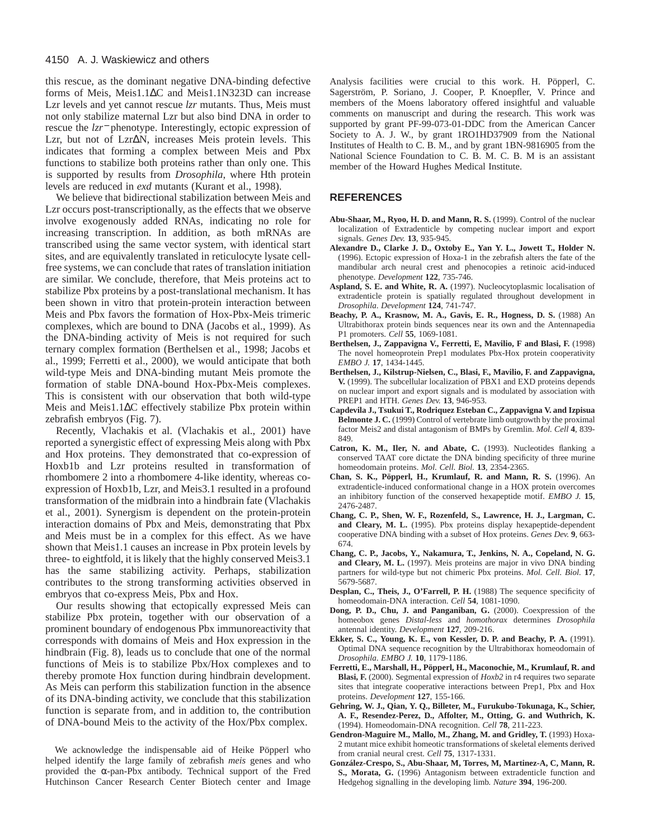this rescue, as the dominant negative DNA-binding defective forms of Meis, Meis1.1∆C and Meis1.1N323D can increase Lzr levels and yet cannot rescue *lzr* mutants. Thus, Meis must not only stabilize maternal Lzr but also bind DNA in order to rescue the *lzr*<sup>−</sup> phenotype. Interestingly, ectopic expression of Lzr, but not of Lzr∆N, increases Meis protein levels. This indicates that forming a complex between Meis and Pbx functions to stabilize both proteins rather than only one. This is supported by results from *Drosophila*, where Hth protein levels are reduced in *exd* mutants (Kurant et al., 1998).

We believe that bidirectional stabilization between Meis and Lzr occurs post-transcriptionally, as the effects that we observe involve exogenously added RNAs, indicating no role for increasing transcription. In addition, as both mRNAs are transcribed using the same vector system, with identical start sites, and are equivalently translated in reticulocyte lysate cellfree systems, we can conclude that rates of translation initiation are similar. We conclude, therefore, that Meis proteins act to stabilize Pbx proteins by a post-translational mechanism. It has been shown in vitro that protein-protein interaction between Meis and Pbx favors the formation of Hox-Pbx-Meis trimeric complexes, which are bound to DNA (Jacobs et al., 1999). As the DNA-binding activity of Meis is not required for such ternary complex formation (Berthelsen et al., 1998; Jacobs et al., 1999; Ferretti et al., 2000), we would anticipate that both wild-type Meis and DNA-binding mutant Meis promote the formation of stable DNA-bound Hox-Pbx-Meis complexes. This is consistent with our observation that both wild-type Meis and Meis1.1∆C effectively stabilize Pbx protein within zebrafish embryos (Fig. 7).

Recently, Vlachakis et al. (Vlachakis et al., 2001) have reported a synergistic effect of expressing Meis along with Pbx and Hox proteins. They demonstrated that co-expression of Hoxb1b and Lzr proteins resulted in transformation of rhombomere 2 into a rhombomere 4-like identity, whereas coexpression of Hoxb1b, Lzr, and Meis3.1 resulted in a profound transformation of the midbrain into a hindbrain fate (Vlachakis et al., 2001). Synergism is dependent on the protein-protein interaction domains of Pbx and Meis, demonstrating that Pbx and Meis must be in a complex for this effect. As we have shown that Meis1.1 causes an increase in Pbx protein levels by three- to eightfold, it is likely that the highly conserved Meis3.1 has the same stabilizing activity. Perhaps, stabilization contributes to the strong transforming activities observed in embryos that co-express Meis, Pbx and Hox.

Our results showing that ectopically expressed Meis can stabilize Pbx protein, together with our observation of a prominent boundary of endogenous Pbx immunoreactivity that corresponds with domains of Meis and Hox expression in the hindbrain (Fig. 8), leads us to conclude that one of the normal functions of Meis is to stabilize Pbx/Hox complexes and to thereby promote Hox function during hindbrain development. As Meis can perform this stabilization function in the absence of its DNA-binding activity, we conclude that this stabilization function is separate from, and in addition to, the contribution of DNA-bound Meis to the activity of the Hox/Pbx complex.

We acknowledge the indispensable aid of Heike Pöpperl who helped identify the large family of zebrafish *meis* genes and who provided the  $\alpha$ -pan-Pbx antibody. Technical support of the Fred Hutchinson Cancer Research Center Biotech center and Image

Analysis facilities were crucial to this work. H. Pöpperl, C. Sagerström, P. Soriano, J. Cooper, P. Knoepfler, V. Prince and members of the Moens laboratory offered insightful and valuable comments on manuscript and during the research. This work was supported by grant PF-99-073-01-DDC from the American Cancer Society to A. J. W., by grant 1RO1HD37909 from the National Institutes of Health to C. B. M., and by grant 1BN-9816905 from the National Science Foundation to C. B. M. C. B. M is an assistant member of the Howard Hughes Medical Institute.

#### **REFERENCES**

- **Abu-Shaar, M., Ryoo, H. D. and Mann, R. S.** (1999). Control of the nuclear localization of Extradenticle by competing nuclear import and export signals. *Genes Dev.* **13**, 935-945.
- **Alexandre D., Clarke J. D., Oxtoby E., Yan Y. L., Jowett T., Holder N.** (1996). Ectopic expression of Hoxa-1 in the zebrafish alters the fate of the mandibular arch neural crest and phenocopies a retinoic acid-induced phenotype. *Development* **122**, 735-746.
- **Aspland, S. E. and White, R. A.** (1997). Nucleocytoplasmic localisation of extradenticle protein is spatially regulated throughout development in *Drosophila*. *Development* **124**, 741-747.
- **Beachy, P. A., Krasnow, M. A., Gavis, E. R., Hogness, D. S.** (1988) An Ultrabithorax protein binds sequences near its own and the Antennapedia P1 promoters. *Cell* **55**, 1069-1081.
- Berthelsen, J., Zappavigna V., Ferretti, E, Mavilio, F and Blasi, F. (1998) The novel homeoprotein Prep1 modulates Pbx-Hox protein cooperativity *EMBO J.* **17**, 1434-1445.
- **Berthelsen, J., Kilstrup-Nielsen, C., Blasi, F., Mavilio, F. and Zappavigna, V.** (1999). The subcellular localization of PBX1 and EXD proteins depends on nuclear import and export signals and is modulated by association with PREP1 and HTH. *Genes Dev.* **13**, 946-953.
- **Capdevila J., Tsukui T., Rodriquez Esteban C., Zappavigna V. and Izpisua Belmonte J. C.** (1999) Control of vertebrate limb outgrowth by the proximal factor Meis2 and distal antagonism of BMPs by Gremlin. *Mol. Cell* **4**, 839- 849.
- **Catron, K. M., Iler, N. and Abate, C.** (1993). Nucleotides flanking a conserved TAAT core dictate the DNA binding specificity of three murine homeodomain proteins. *Mol. Cell. Biol.* **13**, 2354-2365.
- **Chan, S. K., Pöpperl, H., Krumlauf, R. and Mann, R. S.** (1996). An extradenticle-induced conformational change in a HOX protein overcomes an inhibitory function of the conserved hexapeptide motif. *EMBO J.* **15**, 2476-2487.
- **Chang, C. P., Shen, W. F., Rozenfeld, S., Lawrence, H. J., Largman, C. and Cleary, M. L.** (1995). Pbx proteins display hexapeptide-dependent cooperative DNA binding with a subset of Hox proteins. *Genes Dev.* **9**, 663- 674.
- **Chang, C. P., Jacobs, Y., Nakamura, T., Jenkins, N. A., Copeland, N. G. and Cleary, M. L.** (1997). Meis proteins are major in vivo DNA binding partners for wild-type but not chimeric Pbx proteins. *Mol. Cell. Biol.* **17**, 5679-5687.
- **Desplan, C., Theis, J., O'Farrell, P. H.** (1988) The sequence specificity of homeodomain-DNA interaction. *Cell* **54**, 1081-1090.
- **Dong, P. D., Chu, J. and Panganiban, G.** (2000). Coexpression of the homeobox genes *Distal-less* and *homothorax* determines *Drosophila* antennal identity. *Development* **127**, 209-216.
- **Ekker, S. C., Young, K. E., von Kessler, D. P. and Beachy, P. A.** (1991). Optimal DNA sequence recognition by the Ultrabithorax homeodomain of *Drosophila*. *EMBO J.* **10**, 1179-1186.
- **Ferretti, E., Marshall, H., Pöpperl, H., Maconochie, M., Krumlauf, R. and Blasi, F.** (2000). Segmental expression of *Hoxb2* in r4 requires two separate sites that integrate cooperative interactions between Prep1, Pbx and Hox proteins. *Development* **127**, 155-166.
- **Gehring, W. J., Qian, Y. Q., Billeter, M., Furukubo-Tokunaga, K., Schier, A. F., Resendez-Perez, D., Affolter, M., Otting, G. and Wuthrich, K.** (1994). Homeodomain-DNA recognition. *Cell* **78**, 211-223.
- **Gendron-Maguire M., Mallo, M., Zhang, M. and Gridley, T.** (1993) Hoxa-2 mutant mice exhibit homeotic transformations of skeletal elements derived from cranial neural crest. *Cell* **75**, 1317-1331.
- **González-Crespo, S., Abu-Shaar, M, Torres, M, Martinez-A, C, Mann, R. S., Morata, G.** (1996) Antagonism between extradenticle function and Hedgehog signalling in the developing limb. *Nature* **394**, 196-200.